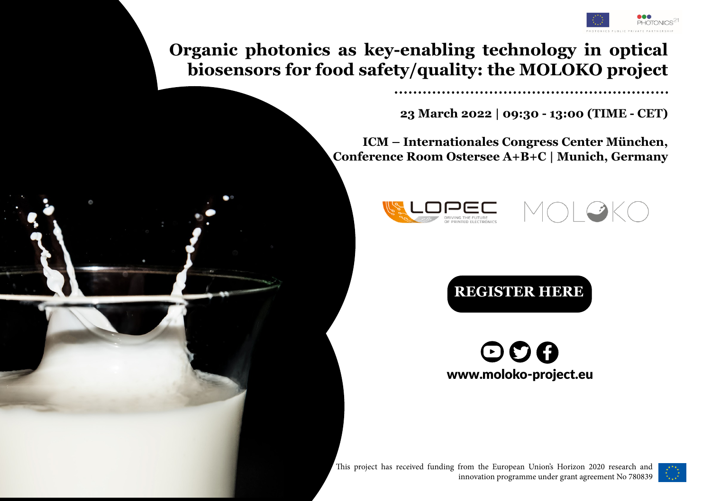

**Organic photonics as key-enabling technology in optical biosensors for food safety/quality: the MOLOKO project**

**23 March 2022 | 09:30 - 13:00 (TIME - CET)**

**ICM – Internationales Congress Center München, Conference Room Ostersee A+B+C | Munich, Germany**







 $\odot$ O $\odot$ www.moloko-project.eu